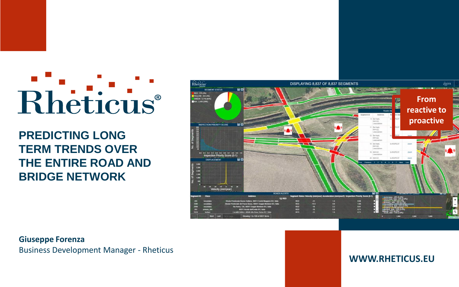# Rheticus®

**PREDICTING LONG TERM TRENDS OVER THE ENTIRE ROAD AND BRIDGE NETWORK**



**Giuseppe Forenza** Business Development Manager - Rheticus

**WWW.RHETICUS.EU**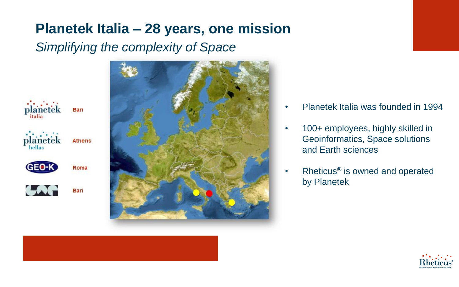## **Planetek Italia – 28 years, one mission**

#### *Simplifying the complexity of Space*





- Planetek Italia was founded in 1994
- 100+ employees, highly skilled in Geoinformatics, Space solutions and Earth sciences
- Rheticus**®** is owned and operated by Planetek

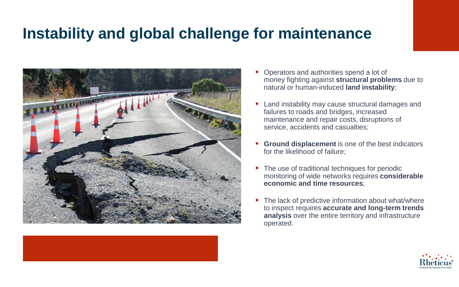# **Instability and global challenge for maintenance**





- Operators and authorities spend a lot of money fighting against **structural problems** due to natural or human-induced **land instability**;
- Land instability may cause structural damages and failures to roads and bridges, increased maintenance and repair costs, disruptions of service, accidents and casualties;
- **Ground displacement** is one of the best indicators for the likelihood of failure;
- The use of traditional techniques for periodic monitoring of wide networks requires **considerable economic and time resources**;
- The lack of predictive information about what/where to inspect requires **accurate and long-term trends analysis** over the entire territory and infrastructure operated.

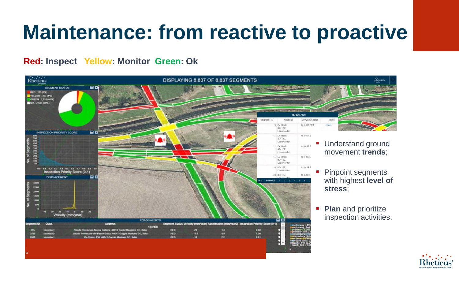# **Maintenance: from reactive to proactive**

#### **Red: Inspect Yellow: Monitor Green: Ok**



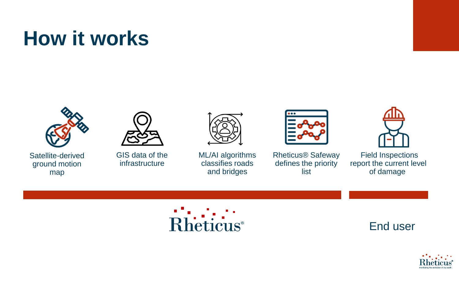# **How it works**







GIS data of the infrastructure



ML/AI algorithms classifies roads and bridges



Rheticus® Safeway defines the priority list



Field Inspections report the current level of damage





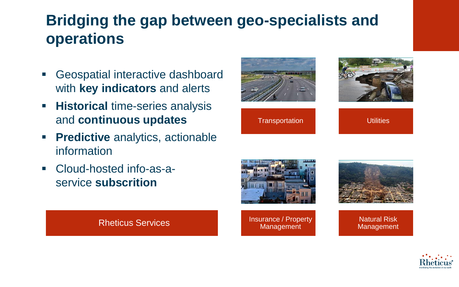# **Bridging the gap between geo-specialists and operations**

- Geospatial interactive dashboard with **key indicators** and alerts
- **EXPLO Historical time-series analysis** and **continuous updates**
- **Predictive** analytics, actionable information
- Cloud-hosted info-as-aservice **subscrition**





Transportation **National Properties** Utilities



Rheticus Services **Insurance / Property** Management



Natural Risk Management

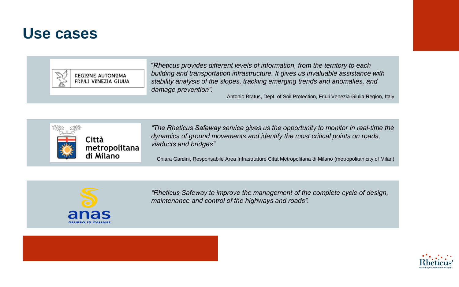### **Use cases**



REGIONE AUTONOMA FRIULI VENEZIA GIULIA "*Rheticus provides different levels of information, from the territory to each building and transportation infrastructure. It gives us invaluable assistance with stability analysis of the slopes, tracking emerging trends and anomalies, and damage prevention".*

Antonio Bratus, Dept. of Soil Protection, Friuli Venezia Giulia Region, Italy



*"The Rheticus Safeway service gives us the opportunity to monitor in real-time the dynamics of ground movements and identify the most critical points on roads, viaducts and bridges"*

Chiara Gardini, Responsabile Area Infrastrutture Città Metropolitana di Milano (metropolitan city of Milan)



*"Rheticus Safeway to improve the management of the complete cycle of design, maintenance and control of the highways and roads".*



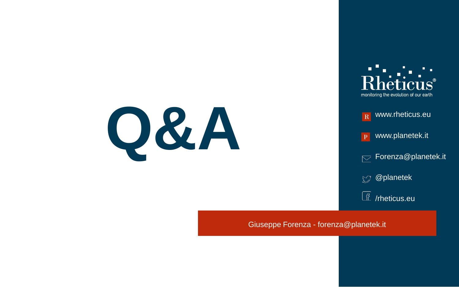



Giuseppe Forenza - forenza@planetek.it